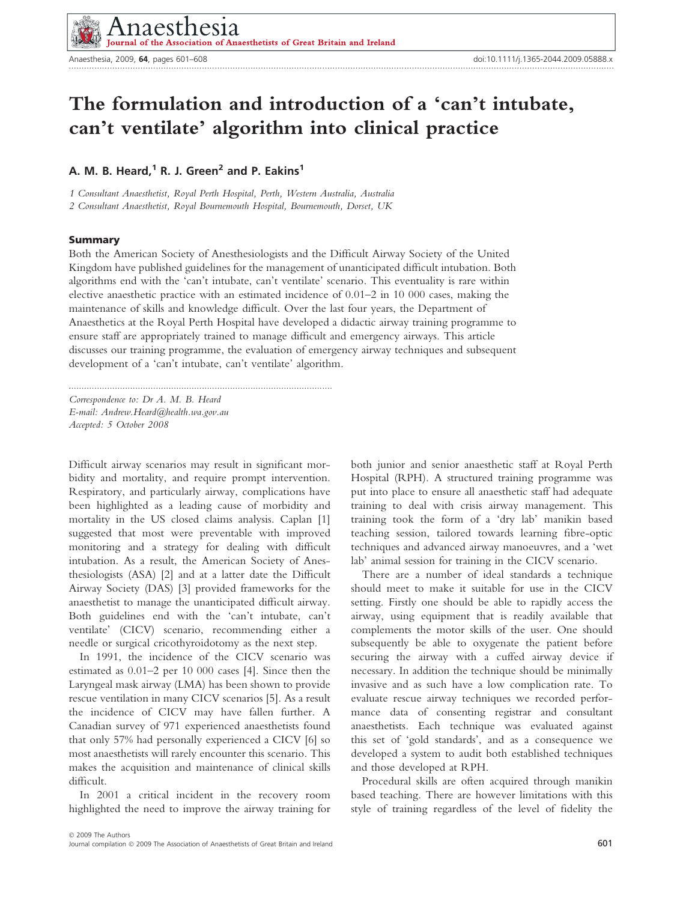# The formulation and introduction of a 'can't intubate, can't ventilate' algorithm into clinical practice

# A. M. B. Heard.<sup>1</sup> R. J. Green<sup>2</sup> and P. Eakins<sup>1</sup>

1 Consultant Anaesthetist, Royal Perth Hospital, Perth, Western Australia, Australia 2 Consultant Anaesthetist, Royal Bournemouth Hospital, Bournemouth, Dorset, UK

#### Summary

Both the American Society of Anesthesiologists and the Difficult Airway Society of the United Kingdom have published guidelines for the management of unanticipated difficult intubation. Both algorithms end with the 'can't intubate, can't ventilate' scenario. This eventuality is rare within elective anaesthetic practice with an estimated incidence of 0.01–2 in 10 000 cases, making the maintenance of skills and knowledge difficult. Over the last four years, the Department of Anaesthetics at the Royal Perth Hospital have developed a didactic airway training programme to ensure staff are appropriately trained to manage difficult and emergency airways. This article discusses our training programme, the evaluation of emergency airway techniques and subsequent development of a 'can't intubate, can't ventilate' algorithm.

Correspondence to: Dr A. M. B. Heard E-mail: Andrew.Heard@health.wa.gov.au Accepted: 5 October 2008

Difficult airway scenarios may result in significant morbidity and mortality, and require prompt intervention. Respiratory, and particularly airway, complications have been highlighted as a leading cause of morbidity and mortality in the US closed claims analysis. Caplan [1] suggested that most were preventable with improved monitoring and a strategy for dealing with difficult intubation. As a result, the American Society of Anesthesiologists (ASA) [2] and at a latter date the Difficult Airway Society (DAS) [3] provided frameworks for the anaesthetist to manage the unanticipated difficult airway. Both guidelines end with the 'can't intubate, can't ventilate' (CICV) scenario, recommending either a needle or surgical cricothyroidotomy as the next step.

.......................................................................................................

In 1991, the incidence of the CICV scenario was estimated as 0.01–2 per 10 000 cases [4]. Since then the Laryngeal mask airway (LMA) has been shown to provide rescue ventilation in many CICV scenarios [5]. As a result the incidence of CICV may have fallen further. A Canadian survey of 971 experienced anaesthetists found that only 57% had personally experienced a CICV [6] so most anaesthetists will rarely encounter this scenario. This makes the acquisition and maintenance of clinical skills difficult.

In 2001 a critical incident in the recovery room highlighted the need to improve the airway training for both junior and senior anaesthetic staff at Royal Perth Hospital (RPH). A structured training programme was put into place to ensure all anaesthetic staff had adequate training to deal with crisis airway management. This training took the form of a 'dry lab' manikin based teaching session, tailored towards learning fibre-optic techniques and advanced airway manoeuvres, and a 'wet lab' animal session for training in the CICV scenario.

There are a number of ideal standards a technique should meet to make it suitable for use in the CICV setting. Firstly one should be able to rapidly access the airway, using equipment that is readily available that complements the motor skills of the user. One should subsequently be able to oxygenate the patient before securing the airway with a cuffed airway device if necessary. In addition the technique should be minimally invasive and as such have a low complication rate. To evaluate rescue airway techniques we recorded performance data of consenting registrar and consultant anaesthetists. Each technique was evaluated against this set of 'gold standards', and as a consequence we developed a system to audit both established techniques and those developed at RPH.

Procedural skills are often acquired through manikin based teaching. There are however limitations with this style of training regardless of the level of fidelity the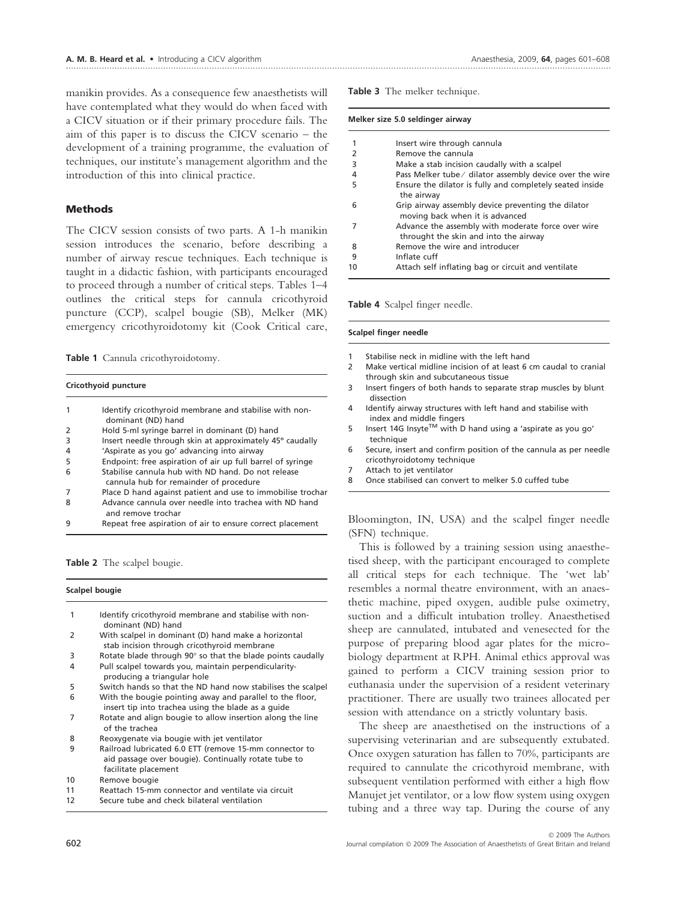manikin provides. As a consequence few anaesthetists will have contemplated what they would do when faced with a CICV situation or if their primary procedure fails. The aim of this paper is to discuss the CICV scenario – the development of a training programme, the evaluation of techniques, our institute's management algorithm and the introduction of this into clinical practice.

## Methods

The CICV session consists of two parts. A 1-h manikin session introduces the scenario, before describing a number of airway rescue techniques. Each technique is taught in a didactic fashion, with participants encouraged to proceed through a number of critical steps. Tables 1–4 outlines the critical steps for cannula cricothyroid puncture (CCP), scalpel bougie (SB), Melker (MK) emergency cricothyroidotomy kit (Cook Critical care,

Table 1 Cannula cricothyroidotomy.

#### Cricothyoid puncture

|   | Identify cricothyroid membrane and stabilise with non-<br>dominant (ND) hand                 |
|---|----------------------------------------------------------------------------------------------|
| 2 | Hold 5-ml syringe barrel in dominant (D) hand                                                |
| 3 | Insert needle through skin at approximately 45° caudally                                     |
| 4 | 'Aspirate as you go' advancing into airway                                                   |
| 5 | Endpoint: free aspiration of air up full barrel of syringe                                   |
| 6 | Stabilise cannula hub with ND hand. Do not release<br>cannula hub for remainder of procedure |
|   | Place D hand against patient and use to immobilise trochar                                   |
| 8 | Advance cannula over needle into trachea with ND hand<br>and remove trochar                  |
|   | Repeat free aspiration of air to ensure correct placement                                    |
|   |                                                                                              |

Table 2 The scalpel bougie.

#### Scalpel bougie

| ldentify cricothyroid membrane and stabilise with non- |  |  |  |
|--------------------------------------------------------|--|--|--|
| dominant (ND) hand                                     |  |  |  |

- 2 With scalpel in dominant (D) hand make a horizontal stab incision through cricothyroid membrane
- 3 Rotate blade through  $90^\circ$  so that the blade points caudally 4 Pull scalpel towards you, maintain perpendicularity-
- producing a triangular hole 5 Switch hands so that the ND hand now stabilises the scalpel
- 6 With the bougie pointing away and parallel to the floor, insert tip into trachea using the blade as a guide
- 7 Rotate and align bougie to allow insertion along the line of the trachea
- 8 Reoxygenate via bougie with jet ventilator
- 9 Railroad lubricated 6.0 ETT (remove 15-mm connector to aid passage over bougie). Continually rotate tube to facilitate placement
- 10 Remove bougie<br>11 Reattach 15-mm
- Reattach 15-mm connector and ventilate via circuit
- 12 Secure tube and check bilateral ventilation

Table 3 The melker technique.

|  |  |  | Melker size 5.0 seldinger airway |  |
|--|--|--|----------------------------------|--|
|--|--|--|----------------------------------|--|

|    | Insert wire through cannula                                                                 |
|----|---------------------------------------------------------------------------------------------|
|    | Remove the cannula                                                                          |
| 3  | Make a stab incision caudally with a scalpel                                                |
| 4  | Pass Melker tube / dilator assembly device over the wire                                    |
| 5  | Ensure the dilator is fully and completely seated inside<br>the airway                      |
| Б  | Grip airway assembly device preventing the dilator<br>moving back when it is advanced       |
|    | Advance the assembly with moderate force over wire<br>throught the skin and into the airway |
| 8  | Remove the wire and introducer                                                              |
| 9  | Inflate cuff                                                                                |
| 10 | Attach self inflating bag or circuit and ventilate                                          |
|    |                                                                                             |

Table 4 Scalpel finger needle.

# Scalpel finger needle

- Stabilise neck in midline with the left hand
- 2 Make vertical midline incision of at least 6 cm caudal to cranial through skin and subcutaneous tissue
- 3 Insert fingers of both hands to separate strap muscles by blunt dissection
- 4 Identify airway structures with left hand and stabilise with index and middle fingers
- 5 Insert 14G InsyteTM with D hand using a 'aspirate as you go' technique
- 6 Secure, insert and confirm position of the cannula as per needle cricothyroidotomy technique
- 7 Attach to jet ventilator
- 8 Once stabilised can convert to melker 5.0 cuffed tube

Bloomington, IN, USA) and the scalpel finger needle (SFN) technique.

This is followed by a training session using anaesthetised sheep, with the participant encouraged to complete all critical steps for each technique. The 'wet lab' resembles a normal theatre environment, with an anaesthetic machine, piped oxygen, audible pulse oximetry, suction and a difficult intubation trolley. Anaesthetised sheep are cannulated, intubated and venesected for the purpose of preparing blood agar plates for the microbiology department at RPH. Animal ethics approval was gained to perform a CICV training session prior to euthanasia under the supervision of a resident veterinary practitioner. There are usually two trainees allocated per session with attendance on a strictly voluntary basis.

The sheep are anaesthetised on the instructions of a supervising veterinarian and are subsequently extubated. Once oxygen saturation has fallen to 70%, participants are required to cannulate the cricothyroid membrane, with subsequent ventilation performed with either a high flow Manujet jet ventilator, or a low flow system using oxygen tubing and a three way tap. During the course of any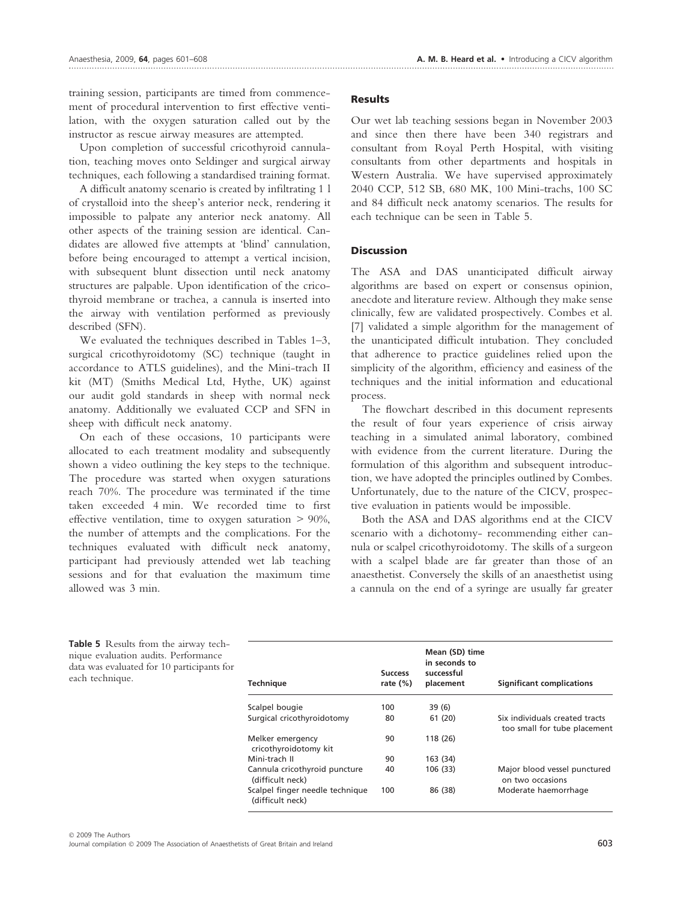training session, participants are timed from commencement of procedural intervention to first effective ventilation, with the oxygen saturation called out by the instructor as rescue airway measures are attempted.

Upon completion of successful cricothyroid cannulation, teaching moves onto Seldinger and surgical airway techniques, each following a standardised training format.

A difficult anatomy scenario is created by infiltrating 1 l of crystalloid into the sheep's anterior neck, rendering it impossible to palpate any anterior neck anatomy. All other aspects of the training session are identical. Candidates are allowed five attempts at 'blind' cannulation, before being encouraged to attempt a vertical incision, with subsequent blunt dissection until neck anatomy structures are palpable. Upon identification of the cricothyroid membrane or trachea, a cannula is inserted into the airway with ventilation performed as previously described (SFN).

We evaluated the techniques described in Tables 1–3, surgical cricothyroidotomy (SC) technique (taught in accordance to ATLS guidelines), and the Mini-trach II kit (MT) (Smiths Medical Ltd, Hythe, UK) against our audit gold standards in sheep with normal neck anatomy. Additionally we evaluated CCP and SFN in sheep with difficult neck anatomy.

On each of these occasions, 10 participants were allocated to each treatment modality and subsequently shown a video outlining the key steps to the technique. The procedure was started when oxygen saturations reach 70%. The procedure was terminated if the time taken exceeded 4 min. We recorded time to first effective ventilation, time to oxygen saturation > 90%, the number of attempts and the complications. For the techniques evaluated with difficult neck anatomy, participant had previously attended wet lab teaching sessions and for that evaluation the maximum time allowed was 3 min.

#### Results

Our wet lab teaching sessions began in November 2003 and since then there have been 340 registrars and consultant from Royal Perth Hospital, with visiting consultants from other departments and hospitals in Western Australia. We have supervised approximately 2040 CCP, 512 SB, 680 MK, 100 Mini-trachs, 100 SC and 84 difficult neck anatomy scenarios. The results for each technique can be seen in Table 5.

#### Discussion

The ASA and DAS unanticipated difficult airway algorithms are based on expert or consensus opinion, anecdote and literature review. Although they make sense clinically, few are validated prospectively. Combes et al. [7] validated a simple algorithm for the management of the unanticipated difficult intubation. They concluded that adherence to practice guidelines relied upon the simplicity of the algorithm, efficiency and easiness of the techniques and the initial information and educational process.

The flowchart described in this document represents the result of four years experience of crisis airway teaching in a simulated animal laboratory, combined with evidence from the current literature. During the formulation of this algorithm and subsequent introduction, we have adopted the principles outlined by Combes. Unfortunately, due to the nature of the CICV, prospective evaluation in patients would be impossible.

Both the ASA and DAS algorithms end at the CICV scenario with a dichotomy- recommending either cannula or scalpel cricothyroidotomy. The skills of a surgeon with a scalpel blade are far greater than those of an anaesthetist. Conversely the skills of an anaesthetist using a cannula on the end of a syringe are usually far greater

Table 5 Results from the airway technique evaluation audits. Performance data was evaluated for 10 participants for each technique.

| <b>Technique</b>                                    | <b>Success</b><br>rate $(\%)$ | Mean (SD) time<br>in seconds to<br>successful<br>placement | <b>Significant complications</b>                               |
|-----------------------------------------------------|-------------------------------|------------------------------------------------------------|----------------------------------------------------------------|
| Scalpel bougie                                      | 100                           | 39 (6)                                                     |                                                                |
| Surgical cricothyroidotomy                          | 80                            | 61 (20)                                                    | Six individuals created tracts<br>too small for tube placement |
| Melker emergency<br>cricothyroidotomy kit           | 90                            | 118 (26)                                                   |                                                                |
| Mini-trach II                                       | 90                            | 163 (34)                                                   |                                                                |
| Cannula cricothyroid puncture<br>(difficult neck)   | 40                            | 106(33)                                                    | Major blood vessel punctured<br>on two occasions               |
| Scalpel finger needle technique<br>(difficult neck) | 100                           | 86 (38)                                                    | Moderate haemorrhage                                           |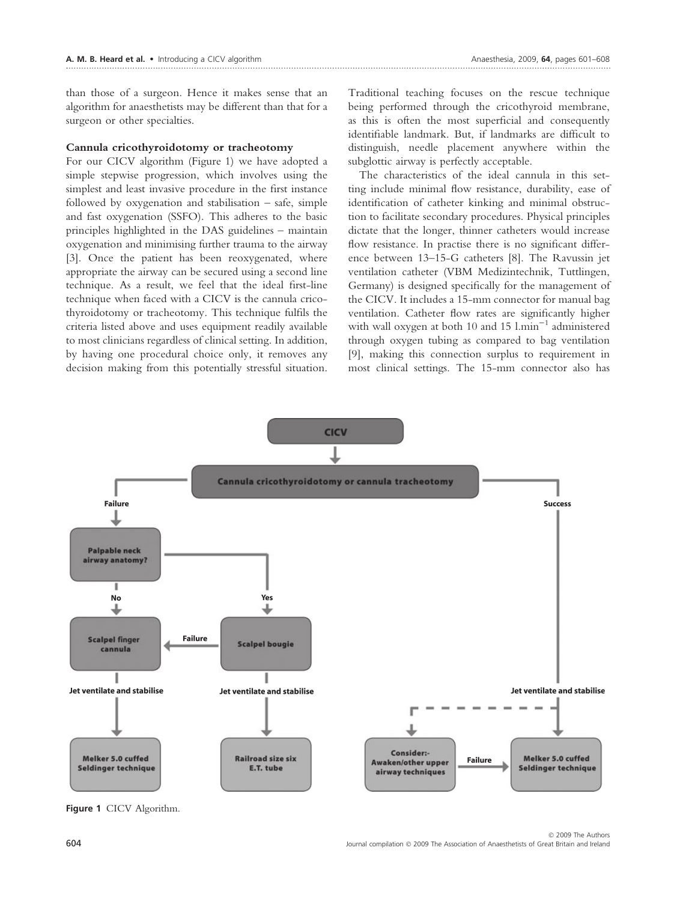than those of a surgeon. Hence it makes sense that an algorithm for anaesthetists may be different than that for a surgeon or other specialties.

#### Cannula cricothyroidotomy or tracheotomy

For our CICV algorithm (Figure 1) we have adopted a simple stepwise progression, which involves using the simplest and least invasive procedure in the first instance followed by oxygenation and stabilisation – safe, simple and fast oxygenation (SSFO). This adheres to the basic principles highlighted in the DAS guidelines – maintain oxygenation and minimising further trauma to the airway [3]. Once the patient has been reoxygenated, where appropriate the airway can be secured using a second line technique. As a result, we feel that the ideal first-line technique when faced with a CICV is the cannula cricothyroidotomy or tracheotomy. This technique fulfils the criteria listed above and uses equipment readily available to most clinicians regardless of clinical setting. In addition, by having one procedural choice only, it removes any decision making from this potentially stressful situation. Traditional teaching focuses on the rescue technique being performed through the cricothyroid membrane, as this is often the most superficial and consequently identifiable landmark. But, if landmarks are difficult to distinguish, needle placement anywhere within the subglottic airway is perfectly acceptable.

The characteristics of the ideal cannula in this setting include minimal flow resistance, durability, ease of identification of catheter kinking and minimal obstruction to facilitate secondary procedures. Physical principles dictate that the longer, thinner catheters would increase flow resistance. In practise there is no significant difference between 13–15-G catheters [8]. The Ravussin jet ventilation catheter (VBM Medizintechnik, Tuttlingen, Germany) is designed specifically for the management of the CICV. It includes a 15-mm connector for manual bag ventilation. Catheter flow rates are significantly higher with wall oxygen at both 10 and 15  $1$ .min<sup>-1</sup> administered through oxygen tubing as compared to bag ventilation [9], making this connection surplus to requirement in most clinical settings. The 15-mm connector also has



Figure 1 CICV Algorithm.

© 2009 The Authors **604 Solution - Compilation - Compilation - Compilation - Compilation - Journal compilation - Compilation - Compilation - Compilation - Compilation - Compilation - Compilation - Compilation - Compilation - Compilation -**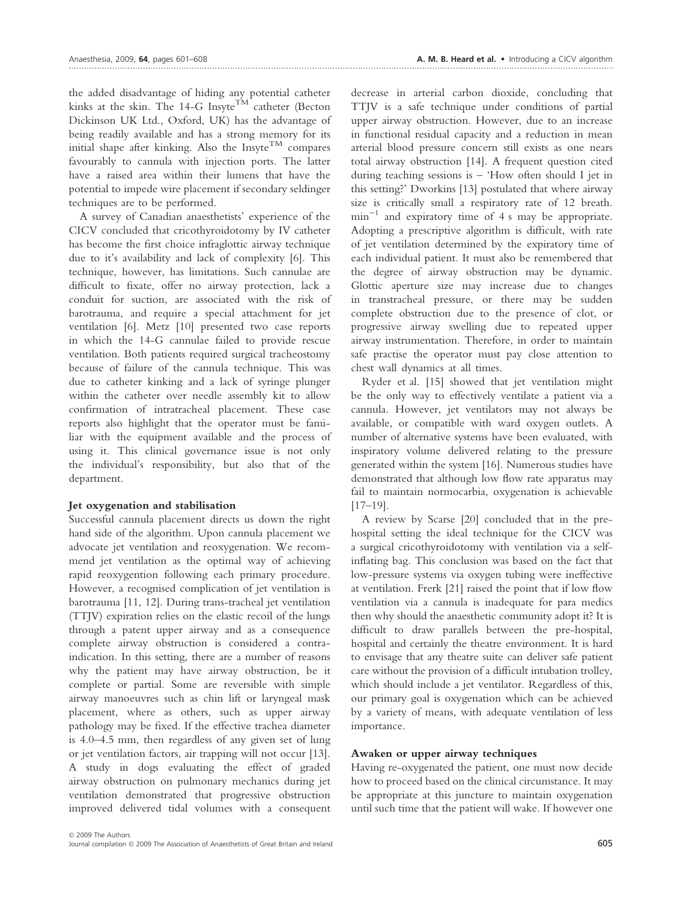the added disadvantage of hiding any potential catheter kinks at the skin. The 14-G Insyte<sup>TM</sup> catheter (Becton Dickinson UK Ltd., Oxford, UK) has the advantage of being readily available and has a strong memory for its initial shape after kinking. Also the Insyte<sup>TM</sup> compares favourably to cannula with injection ports. The latter have a raised area within their lumens that have the potential to impede wire placement if secondary seldinger techniques are to be performed.

A survey of Canadian anaesthetists' experience of the CICV concluded that cricothyroidotomy by IV catheter has become the first choice infraglottic airway technique due to it's availability and lack of complexity [6]. This technique, however, has limitations. Such cannulae are difficult to fixate, offer no airway protection, lack a conduit for suction, are associated with the risk of barotrauma, and require a special attachment for jet ventilation [6]. Metz [10] presented two case reports in which the 14-G cannulae failed to provide rescue ventilation. Both patients required surgical tracheostomy because of failure of the cannula technique. This was due to catheter kinking and a lack of syringe plunger within the catheter over needle assembly kit to allow confirmation of intratracheal placement. These case reports also highlight that the operator must be familiar with the equipment available and the process of using it. This clinical governance issue is not only the individual's responsibility, but also that of the department.

#### Jet oxygenation and stabilisation

Successful cannula placement directs us down the right hand side of the algorithm. Upon cannula placement we advocate jet ventilation and reoxygenation. We recommend jet ventilation as the optimal way of achieving rapid reoxygention following each primary procedure. However, a recognised complication of jet ventilation is barotrauma [11, 12]. During trans-tracheal jet ventilation (TTJV) expiration relies on the elastic recoil of the lungs through a patent upper airway and as a consequence complete airway obstruction is considered a contraindication. In this setting, there are a number of reasons why the patient may have airway obstruction, be it complete or partial. Some are reversible with simple airway manoeuvres such as chin lift or laryngeal mask placement, where as others, such as upper airway pathology may be fixed. If the effective trachea diameter is 4.0–4.5 mm, then regardless of any given set of lung or jet ventilation factors, air trapping will not occur [13]. A study in dogs evaluating the effect of graded airway obstruction on pulmonary mechanics during jet ventilation demonstrated that progressive obstruction improved delivered tidal volumes with a consequent

decrease in arterial carbon dioxide, concluding that TTJV is a safe technique under conditions of partial upper airway obstruction. However, due to an increase in functional residual capacity and a reduction in mean arterial blood pressure concern still exists as one nears total airway obstruction [14]. A frequent question cited during teaching sessions is – 'How often should I jet in this setting?' Dworkins [13] postulated that where airway size is critically small a respiratory rate of 12 breath.  $min^{-1}$  and expiratory time of 4 s may be appropriate. Adopting a prescriptive algorithm is difficult, with rate of jet ventilation determined by the expiratory time of each individual patient. It must also be remembered that the degree of airway obstruction may be dynamic. Glottic aperture size may increase due to changes in transtracheal pressure, or there may be sudden complete obstruction due to the presence of clot, or progressive airway swelling due to repeated upper airway instrumentation. Therefore, in order to maintain safe practise the operator must pay close attention to chest wall dynamics at all times.

Ryder et al. [15] showed that jet ventilation might be the only way to effectively ventilate a patient via a cannula. However, jet ventilators may not always be available, or compatible with ward oxygen outlets. A number of alternative systems have been evaluated, with inspiratory volume delivered relating to the pressure generated within the system [16]. Numerous studies have demonstrated that although low flow rate apparatus may fail to maintain normocarbia, oxygenation is achievable [17–19].

A review by Scarse [20] concluded that in the prehospital setting the ideal technique for the CICV was a surgical cricothyroidotomy with ventilation via a selfinflating bag. This conclusion was based on the fact that low-pressure systems via oxygen tubing were ineffective at ventilation. Frerk [21] raised the point that if low flow ventilation via a cannula is inadequate for para medics then why should the anaesthetic community adopt it? It is difficult to draw parallels between the pre-hospital, hospital and certainly the theatre environment. It is hard to envisage that any theatre suite can deliver safe patient care without the provision of a difficult intubation trolley, which should include a jet ventilator. Regardless of this, our primary goal is oxygenation which can be achieved by a variety of means, with adequate ventilation of less importance.

#### Awaken or upper airway techniques

Having re-oxygenated the patient, one must now decide how to proceed based on the clinical circumstance. It may be appropriate at this juncture to maintain oxygenation until such time that the patient will wake. If however one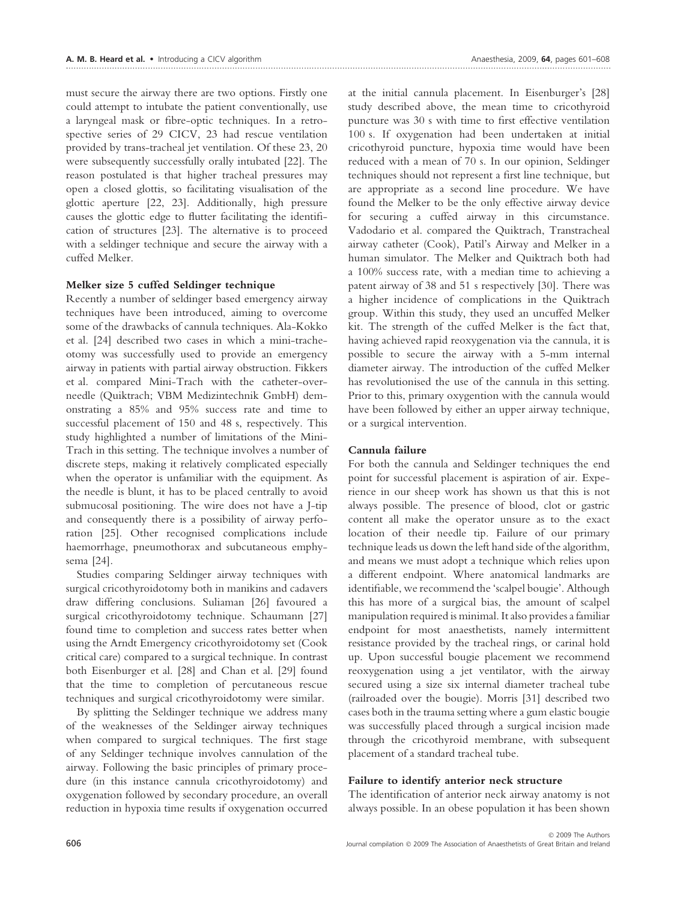must secure the airway there are two options. Firstly one could attempt to intubate the patient conventionally, use a laryngeal mask or fibre-optic techniques. In a retrospective series of 29 CICV, 23 had rescue ventilation provided by trans-tracheal jet ventilation. Of these 23, 20 were subsequently successfully orally intubated [22]. The reason postulated is that higher tracheal pressures may open a closed glottis, so facilitating visualisation of the glottic aperture [22, 23]. Additionally, high pressure causes the glottic edge to flutter facilitating the identification of structures [23]. The alternative is to proceed with a seldinger technique and secure the airway with a

#### Melker size 5 cuffed Seldinger technique

cuffed Melker.

Recently a number of seldinger based emergency airway techniques have been introduced, aiming to overcome some of the drawbacks of cannula techniques. Ala-Kokko et al. [24] described two cases in which a mini-tracheotomy was successfully used to provide an emergency airway in patients with partial airway obstruction. Fikkers et al. compared Mini-Trach with the catheter-overneedle (Quiktrach; VBM Medizintechnik GmbH) demonstrating a 85% and 95% success rate and time to successful placement of 150 and 48 s, respectively. This study highlighted a number of limitations of the Mini-Trach in this setting. The technique involves a number of discrete steps, making it relatively complicated especially when the operator is unfamiliar with the equipment. As the needle is blunt, it has to be placed centrally to avoid submucosal positioning. The wire does not have a J-tip and consequently there is a possibility of airway perforation [25]. Other recognised complications include haemorrhage, pneumothorax and subcutaneous emphysema [24].

Studies comparing Seldinger airway techniques with surgical cricothyroidotomy both in manikins and cadavers draw differing conclusions. Suliaman [26] favoured a surgical cricothyroidotomy technique. Schaumann [27] found time to completion and success rates better when using the Arndt Emergency cricothyroidotomy set (Cook critical care) compared to a surgical technique. In contrast both Eisenburger et al. [28] and Chan et al. [29] found that the time to completion of percutaneous rescue techniques and surgical cricothyroidotomy were similar.

By splitting the Seldinger technique we address many of the weaknesses of the Seldinger airway techniques when compared to surgical techniques. The first stage of any Seldinger technique involves cannulation of the airway. Following the basic principles of primary procedure (in this instance cannula cricothyroidotomy) and oxygenation followed by secondary procedure, an overall reduction in hypoxia time results if oxygenation occurred at the initial cannula placement. In Eisenburger's [28]

study described above, the mean time to cricothyroid puncture was 30 s with time to first effective ventilation 100 s. If oxygenation had been undertaken at initial cricothyroid puncture, hypoxia time would have been reduced with a mean of 70 s. In our opinion, Seldinger techniques should not represent a first line technique, but are appropriate as a second line procedure. We have found the Melker to be the only effective airway device for securing a cuffed airway in this circumstance. Vadodario et al. compared the Quiktrach, Transtracheal airway catheter (Cook), Patil's Airway and Melker in a human simulator. The Melker and Quiktrach both had a 100% success rate, with a median time to achieving a patent airway of 38 and 51 s respectively [30]. There was a higher incidence of complications in the Quiktrach group. Within this study, they used an uncuffed Melker kit. The strength of the cuffed Melker is the fact that, having achieved rapid reoxygenation via the cannula, it is possible to secure the airway with a 5-mm internal diameter airway. The introduction of the cuffed Melker has revolutionised the use of the cannula in this setting. Prior to this, primary oxygention with the cannula would have been followed by either an upper airway technique, or a surgical intervention.

#### Cannula failure

For both the cannula and Seldinger techniques the end point for successful placement is aspiration of air. Experience in our sheep work has shown us that this is not always possible. The presence of blood, clot or gastric content all make the operator unsure as to the exact location of their needle tip. Failure of our primary technique leads us down the left hand side of the algorithm, and means we must adopt a technique which relies upon a different endpoint. Where anatomical landmarks are identifiable, we recommend the 'scalpel bougie'. Although this has more of a surgical bias, the amount of scalpel manipulation required is minimal. It also provides a familiar endpoint for most anaesthetists, namely intermittent resistance provided by the tracheal rings, or carinal hold up. Upon successful bougie placement we recommend reoxygenation using a jet ventilator, with the airway secured using a size six internal diameter tracheal tube (railroaded over the bougie). Morris [31] described two cases both in the trauma setting where a gum elastic bougie was successfully placed through a surgical incision made through the cricothyroid membrane, with subsequent placement of a standard tracheal tube.

### Failure to identify anterior neck structure

The identification of anterior neck airway anatomy is not always possible. In an obese population it has been shown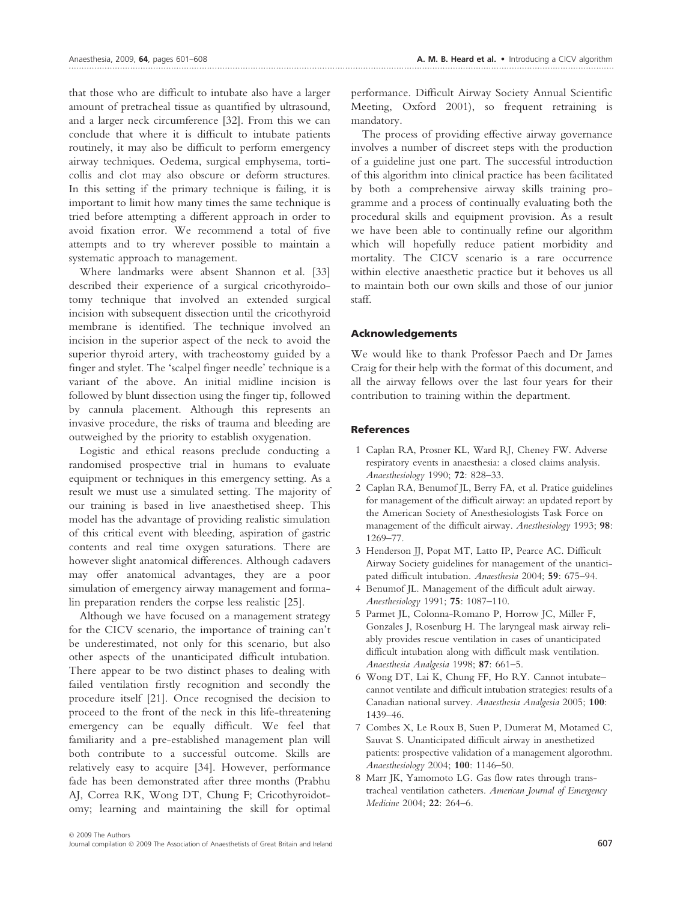that those who are difficult to intubate also have a larger amount of pretracheal tissue as quantified by ultrasound, and a larger neck circumference [32]. From this we can conclude that where it is difficult to intubate patients routinely, it may also be difficult to perform emergency airway techniques. Oedema, surgical emphysema, torticollis and clot may also obscure or deform structures. In this setting if the primary technique is failing, it is important to limit how many times the same technique is tried before attempting a different approach in order to avoid fixation error. We recommend a total of five attempts and to try wherever possible to maintain a systematic approach to management.

Where landmarks were absent Shannon et al. [33] described their experience of a surgical cricothyroidotomy technique that involved an extended surgical incision with subsequent dissection until the cricothyroid membrane is identified. The technique involved an incision in the superior aspect of the neck to avoid the superior thyroid artery, with tracheostomy guided by a finger and stylet. The 'scalpel finger needle' technique is a variant of the above. An initial midline incision is followed by blunt dissection using the finger tip, followed by cannula placement. Although this represents an invasive procedure, the risks of trauma and bleeding are outweighed by the priority to establish oxygenation.

Logistic and ethical reasons preclude conducting a randomised prospective trial in humans to evaluate equipment or techniques in this emergency setting. As a result we must use a simulated setting. The majority of our training is based in live anaesthetised sheep. This model has the advantage of providing realistic simulation of this critical event with bleeding, aspiration of gastric contents and real time oxygen saturations. There are however slight anatomical differences. Although cadavers may offer anatomical advantages, they are a poor simulation of emergency airway management and formalin preparation renders the corpse less realistic [25].

Although we have focused on a management strategy for the CICV scenario, the importance of training can't be underestimated, not only for this scenario, but also other aspects of the unanticipated difficult intubation. There appear to be two distinct phases to dealing with failed ventilation firstly recognition and secondly the procedure itself [21]. Once recognised the decision to proceed to the front of the neck in this life-threatening emergency can be equally difficult. We feel that familiarity and a pre-established management plan will both contribute to a successful outcome. Skills are relatively easy to acquire [34]. However, performance fade has been demonstrated after three months (Prabhu AJ, Correa RK, Wong DT, Chung F; Cricothyroidotomy; learning and maintaining the skill for optimal performance. Difficult Airway Society Annual Scientific Meeting, Oxford 2001), so frequent retraining is mandatory.

The process of providing effective airway governance involves a number of discreet steps with the production of a guideline just one part. The successful introduction of this algorithm into clinical practice has been facilitated by both a comprehensive airway skills training programme and a process of continually evaluating both the procedural skills and equipment provision. As a result we have been able to continually refine our algorithm which will hopefully reduce patient morbidity and mortality. The CICV scenario is a rare occurrence within elective anaesthetic practice but it behoves us all to maintain both our own skills and those of our junior staff.

#### Acknowledgements

We would like to thank Professor Paech and Dr James Craig for their help with the format of this document, and all the airway fellows over the last four years for their contribution to training within the department.

#### References

- 1 Caplan RA, Prosner KL, Ward RJ, Cheney FW. Adverse respiratory events in anaesthesia: a closed claims analysis. Anaesthesiology 1990; 72: 828–33.
- 2 Caplan RA, Benumof JL, Berry FA, et al. Pratice guidelines for management of the difficult airway: an updated report by the American Society of Anesthesiologists Task Force on management of the difficult airway. Anesthesiology 1993; 98: 1269–77.
- 3 Henderson JJ, Popat MT, Latto IP, Pearce AC. Difficult Airway Society guidelines for management of the unanticipated difficult intubation. Anaesthesia 2004; 59: 675–94.
- 4 Benumof JL. Management of the difficult adult airway. Anesthesiology 1991; 75: 1087–110.
- 5 Parmet JL, Colonna-Romano P, Horrow JC, Miller F, Gonzales J, Rosenburg H. The laryngeal mask airway reliably provides rescue ventilation in cases of unanticipated difficult intubation along with difficult mask ventilation. Anaesthesia Analgesia 1998; 87: 661–5.
- 6 Wong DT, Lai K, Chung FF, Ho RY. Cannot intubate– cannot ventilate and difficult intubation strategies: results of a Canadian national survey. Anaesthesia Analgesia 2005; 100: 1439–46.
- 7 Combes X, Le Roux B, Suen P, Dumerat M, Motamed C, Sauvat S. Unanticipated difficult airway in anesthetized patients: prospective validation of a management algorothm. Anaesthesiology 2004; 100: 1146–50.
- 8 Marr JK, Yamomoto LG. Gas flow rates through transtracheal ventilation catheters. American Journal of Emergency Medicine 2004; 22: 264–6.